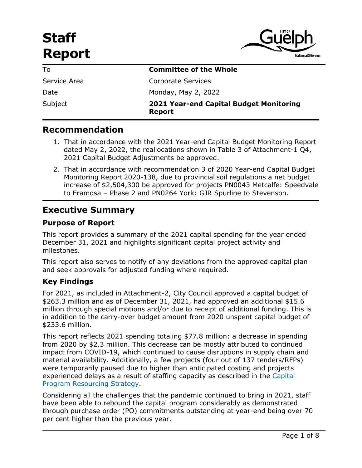# **Staff Report**



| To           | <b>Committee of the Whole</b>                                   |
|--------------|-----------------------------------------------------------------|
| Service Area | <b>Corporate Services</b>                                       |
| Date         | Monday, May 2, 2022                                             |
| Subject      | <b>2021 Year-end Capital Budget Monitoring</b><br><b>Report</b> |

# **Recommendation**

- 1. That in accordance with the 2021 Year-end Capital Budget Monitoring Report dated May 2, 2022, the reallocations shown in Table 3 of Attachment-1 Q4, 2021 Capital Budget Adjustments be approved.
- 2. That in accordance with recommendation 3 of 2020 Year-end Capital Budget Monitoring Report 2020-138, due to provincial soil regulations a net budget increase of \$2,504,300 be approved for projects PN0043 Metcalfe: Speedvale to Eramosa – Phase 2 and PN0264 York: GJR Spurline to Stevenson.

# **Executive Summary**

#### **Purpose of Report**

This report provides a summary of the 2021 capital spending for the year ended December 31, 2021 and highlights significant capital project activity and milestones.

This report also serves to notify of any deviations from the approved capital plan and seek approvals for adjusted funding where required.

#### **Key Findings**

For 2021, as included in Attachment-2, City Council approved a capital budget of \$263.3 million and as of December 31, 2021, had approved an additional \$15.6 million through special motions and/or due to receipt of additional funding. This is in addition to the carry-over budget amount from 2020 unspent capital budget of \$233.6 million.

This report reflects 2021 spending totaling \$77.8 million: a decrease in spending from 2020 by \$2.3 million. This decrease can be mostly attributed to continued impact from COVID-19, which continued to cause disruptions in supply chain and material availability. Additionally, a few projects (four out of 137 tenders/RFPs) were temporarily paused due to higher than anticipated costing and projects experienced delays as a result of staffing capacity as described in the [Capital](https://pub-guelph.escribemeetings.com/filestream.ashx?DocumentId=15588)  [Program Resourcing Strategy.](https://pub-guelph.escribemeetings.com/filestream.ashx?DocumentId=15588)

Considering all the challenges that the pandemic continued to bring in 2021, staff have been able to rebound the capital program considerably as demonstrated through purchase order (PO) commitments outstanding at year-end being over 70 per cent higher than the previous year.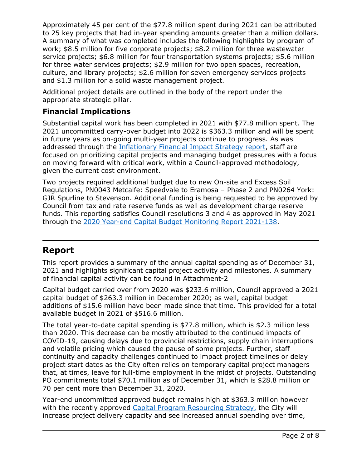Approximately 45 per cent of the \$77.8 million spent during 2021 can be attributed to 25 key projects that had in-year spending amounts greater than a million dollars. A summary of what was completed includes the following highlights by program of work; \$8.5 million for five corporate projects; \$8.2 million for three wastewater service projects; \$6.8 million for four transportation systems projects; \$5.6 million for three water services projects; \$2.9 million for two open spaces, recreation, culture, and library projects; \$2.6 million for seven emergency services projects and \$1.3 million for a solid waste management project.

Additional project details are outlined in the body of the report under the appropriate strategic pillar.

# **Financial Implications**

Substantial capital work has been completed in 2021 with \$77.8 million spent. The 2021 uncommitted carry-over budget into 2022 is \$363.3 million and will be spent in future years as on-going multi-year projects continue to progress. As was addressed through the [Inflationary Financial Impact Strategy report,](ms-word:ofe|u|https://guelph.escribemeetings.com/Reports/Inflationary%20Financial%20Impact%20Strategy%20-%202022-118.docx) staff are focused on prioritizing capital projects and managing budget pressures with a focus on moving forward with critical work, within a Council-approved methodology, given the current cost environment.

Two projects required additional budget due to new On-site and Excess Soil Regulations, PN0043 Metcalfe: Speedvale to Eramosa – Phase 2 and PN0264 York: GJR Spurline to Stevenson. Additional funding is being requested to be approved by Council from tax and rate reserve funds as well as development charge reserve funds. This reporting satisfies Council resolutions 3 and 4 as approved in May 2021 through the [2020 Year-end Capital Budget Monitoring Report 2021-138.](https://pub-guelph.escribemeetings.com/filestream.ashx?DocumentId=14699)

# **Report**

This report provides a summary of the annual capital spending as of December 31, 2021 and highlights significant capital project activity and milestones. A summary of financial capital activity can be found in Attachment-2

Capital budget carried over from 2020 was \$233.6 million, Council approved a 2021 capital budget of \$263.3 million in December 2020; as well, capital budget additions of \$15.6 million have been made since that time. This provided for a total available budget in 2021 of \$516.6 million.

The total year-to-date capital spending is \$77.8 million, which is \$2.3 million less than 2020. This decrease can be mostly attributed to the continued impacts of COVID-19, causing delays due to provincial restrictions, supply chain interruptions and volatile pricing which caused the pause of some projects. Further, staff continuity and capacity challenges continued to impact project timelines or delay project start dates as the City often relies on temporary capital project managers that, at times, leave for full-time employment in the midst of projects. Outstanding PO commitments total \$70.1 million as of December 31, which is \$28.8 million or 70 per cent more than December 31, 2020.

Year-end uncommitted approved budget remains high at \$363.3 million however with the recently approved [Capital Program Resourcing Strategy,](https://pub-guelph.escribemeetings.com/Meeting.aspx?Id=1f4b1a71-7093-4098-bc8f-5ecd13967aa9&Agenda=Agenda&lang=English&Item=36&Tab=attachments) the City will increase project delivery capacity and see increased annual spending over time,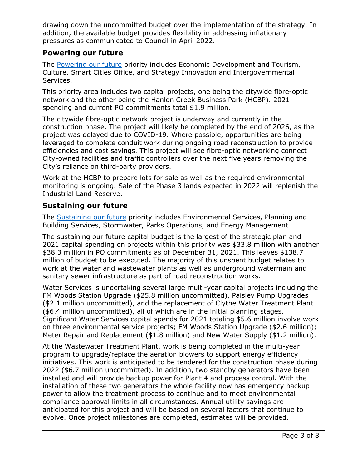drawing down the uncommitted budget over the implementation of the strategy. In addition, the available budget provides flexibility in addressing inflationary pressures as communicated to Council in April 2022.

#### **Powering our future**

The [Powering our future](https://guelph.ca/city-hall/budget-and-finance/city-budget/2021-budget/priorities/powering-our-future/) priority includes Economic Development and Tourism, Culture, Smart Cities Office, and Strategy Innovation and Intergovernmental Services.

This priority area includes two capital projects, one being the citywide fibre-optic network and the other being the Hanlon Creek Business Park (HCBP). 2021 spending and current PO commitments total \$1.9 million.

The citywide fibre-optic network project is underway and currently in the construction phase. The project will likely be completed by the end of 2026, as the project was delayed due to COVID-19. Where possible, opportunities are being leveraged to complete conduit work during ongoing road reconstruction to provide efficiencies and cost savings. This project will see fibre-optic networking connect City-owned facilities and traffic controllers over the next five years removing the City's reliance on third-party providers.

Work at the HCBP to prepare lots for sale as well as the required environmental monitoring is ongoing. Sale of the Phase 3 lands expected in 2022 will replenish the Industrial Land Reserve.

#### **Sustaining our future**

The [Sustaining our future](https://guelph.ca/city-hall/budget-and-finance/city-budget/2021-budget/priorities/sustaining-our-future/) priority includes Environmental Services, Planning and Building Services, Stormwater, Parks Operations, and Energy Management.

The sustaining our future capital budget is the largest of the strategic plan and 2021 capital spending on projects within this priority was \$33.8 million with another \$38.3 million in PO commitments as of December 31, 2021. This leaves \$138.7 million of budget to be executed. The majority of this unspent budget relates to work at the water and wastewater plants as well as underground watermain and sanitary sewer infrastructure as part of road reconstruction works.

Water Services is undertaking several large multi-year capital projects including the FM Woods Station Upgrade (\$25.8 million uncommitted), Paisley Pump Upgrades (\$2.1 million uncommitted), and the replacement of Clythe Water Treatment Plant (\$6.4 million uncommitted), all of which are in the initial planning stages. Significant Water Services capital spends for 2021 totaling \$5.6 million involve work on three environmental service projects; FM Woods Station Upgrade (\$2.6 million); Meter Repair and Replacement (\$1.8 million) and New Water Supply (\$1.2 million).

At the Wastewater Treatment Plant, work is being completed in the multi-year program to upgrade/replace the aeration blowers to support energy efficiency initiatives. This work is anticipated to be tendered for the construction phase during 2022 (\$6.7 million uncommitted). In addition, two standby generators have been installed and will provide backup power for Plant 4 and process control. With the installation of these two generators the whole facility now has emergency backup power to allow the treatment process to continue and to meet environmental compliance approval limits in all circumstances. Annual utility savings are anticipated for this project and will be based on several factors that continue to evolve. Once project milestones are completed, estimates will be provided.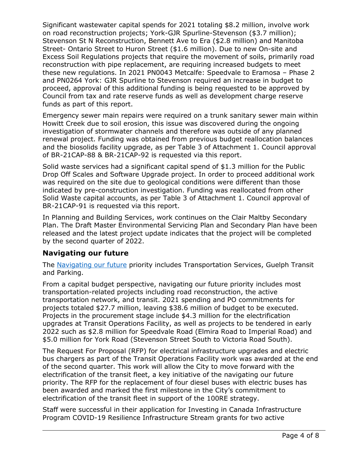Significant wastewater capital spends for 2021 totaling \$8.2 million, involve work on road reconstruction projects; York-GJR Spurline-Stevenson (\$3.7 million); Stevenson St N Reconstruction, Bennett Ave to Era (\$2.8 million) and Manitoba Street- Ontario Street to Huron Street (\$1.6 million). Due to new On-site and Excess Soil Regulations projects that require the movement of soils, primarily road reconstruction with pipe replacement, are requiring increased budgets to meet these new regulations. In 2021 PN0043 Metcalfe: Speedvale to Eramosa – Phase 2 and PN0264 York: GJR Spurline to Stevenson required an increase in budget to proceed, approval of this additional funding is being requested to be approved by Council from tax and rate reserve funds as well as development charge reserve funds as part of this report.

Emergency sewer main repairs were required on a trunk sanitary sewer main within Howitt Creek due to soil erosion, this issue was discovered during the ongoing investigation of stormwater channels and therefore was outside of any planned renewal project. Funding was obtained from previous budget reallocation balances and the biosolids facility upgrade, as per Table 3 of Attachment 1. Council approval of BR-21CAP-88 & BR-21CAP-92 is requested via this report.

Solid waste services had a significant capital spend of \$1.3 million for the Public Drop Off Scales and Software Upgrade project. In order to proceed additional work was required on the site due to geological conditions were different than those indicated by pre-construction investigation. Funding was reallocated from other Solid Waste capital accounts, as per Table 3 of Attachment 1. Council approval of BR-21CAP-91 is requested via this report.

In Planning and Building Services, work continues on the Clair Maltby Secondary Plan. The Draft Master Environmental Servicing Plan and Secondary Plan have been released and the latest project update indicates that the project will be completed by the second quarter of 2022.

# **Navigating our future**

The [Navigating our future](https://guelph.ca/city-hall/budget-and-finance/city-budget/2021-budget/priorities/navigating-our-future/) priority includes Transportation Services, Guelph Transit and Parking.

From a capital budget perspective, navigating our future priority includes most transportation-related projects including road reconstruction, the active transportation network, and transit. 2021 spending and PO commitments for projects totaled \$27.7 million, leaving \$38.6 million of budget to be executed. Projects in the procurement stage include \$4.3 million for the electrification upgrades at Transit Operations Facility, as well as projects to be tendered in early 2022 such as \$2.8 million for Speedvale Road (Elmira Road to Imperial Road) and \$5.0 million for York Road (Stevenson Street South to Victoria Road South).

The Request For Proposal (RFP) for electrical infrastructure upgrades and electric bus chargers as part of the Transit Operations Facility work was awarded at the end of the second quarter. This work will allow the City to move forward with the electrification of the transit fleet, a key initiative of the navigating our future priority. The RFP for the replacement of four diesel buses with electric buses has been awarded and marked the first milestone in the City's commitment to electrification of the transit fleet in support of the 100RE strategy.

Staff were successful in their application for Investing in Canada Infrastructure Program COVID-19 Resilience Infrastructure Stream grants for two active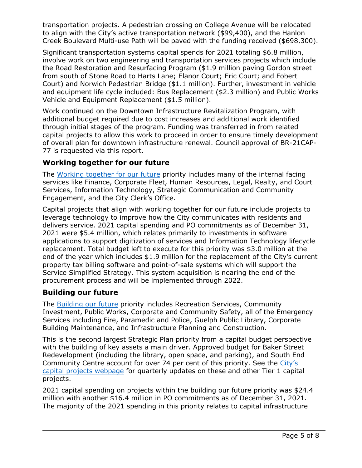transportation projects. A pedestrian crossing on College Avenue will be relocated to align with the City's active transportation network (\$99,400), and the Hanlon Creek Boulevard Multi-use Path will be paved with the funding received (\$698,300).

Significant transportation systems capital spends for 2021 totaling \$6.8 million, involve work on two engineering and transportation services projects which include the Road Restoration and Resurfacing Program (\$1.9 million paving Gordon street from south of Stone Road to Harts Lane; Elanor Court; Eric Court; and Fobert Court) and Norwich Pedestrian Bridge (\$1.1 million). Further, investment in vehicle and equipment life cycle included: Bus Replacement (\$2.3 million) and Public Works Vehicle and Equipment Replacement (\$1.5 million).

Work continued on the Downtown Infrastructure Revitalization Program, with additional budget required due to cost increases and additional work identified through initial stages of the program. Funding was transferred in from related capital projects to allow this work to proceed in order to ensure timely development of overall plan for downtown infrastructure renewal. Council approval of BR-21CAP-77 is requested via this report.

#### **Working together for our future**

The [Working together for our future](https://guelph.ca/city-hall/budget-and-finance/city-budget/2021-budget/priorities/working-together-for-our-future/) priority includes many of the internal facing services like Finance, Corporate Fleet, Human Resources, Legal, Realty, and Court Services, Information Technology, Strategic Communication and Community Engagement, and the City Clerk's Office.

Capital projects that align with working together for our future include projects to leverage technology to improve how the City communicates with residents and delivers service. 2021 capital spending and PO commitments as of December 31, 2021 were \$5.4 million, which relates primarily to investments in software applications to support digitization of services and Information Technology lifecycle replacement. Total budget left to execute for this priority was \$3.0 million at the end of the year which includes \$1.9 million for the replacement of the City's current property tax billing software and point-of-sale systems which will support the Service Simplified Strategy. This system acquisition is nearing the end of the procurement process and will be implemented through 2022.

# **Building our future**

The [Building our future](https://guelph.ca/city-hall/budget-and-finance/city-budget/2021-budget/priorities/building-our-future/) priority includes Recreation Services, Community Investment, Public Works, Corporate and Community Safety, all of the Emergency Services including Fire, Paramedic and Police, Guelph Public Library, Corporate Building Maintenance, and Infrastructure Planning and Construction.

This is the second largest Strategic Plan priority from a capital budget perspective with the building of key assets a main driver. Approved budget for Baker Street Redevelopment (including the library, open space, and parking), and South End Community Centre account for over 74 per cent of this priority. See the [City's](https://guelph.ca/living/construction-projects/capital-projects/)  [capital projects webpage](https://guelph.ca/living/construction-projects/capital-projects/) for quarterly updates on these and other Tier 1 capital projects.

2021 capital spending on projects within the building our future priority was \$24.4 million with another \$16.4 million in PO commitments as of December 31, 2021. The majority of the 2021 spending in this priority relates to capital infrastructure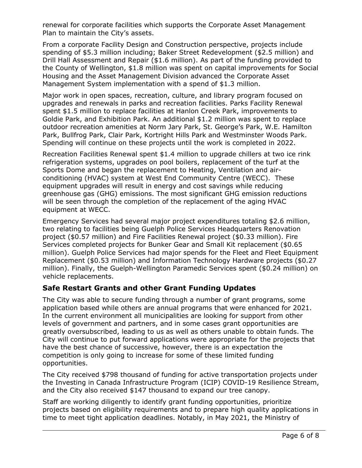renewal for corporate facilities which supports the Corporate Asset Management Plan to maintain the City's assets.

From a corporate Facility Design and Construction perspective, projects include spending of \$5.3 million including; Baker Street Redevelopment (\$2.5 million) and Drill Hall Assessment and Repair (\$1.6 million). As part of the funding provided to the County of Wellington, \$1.8 million was spent on capital improvements for Social Housing and the Asset Management Division advanced the Corporate Asset Management System implementation with a spend of \$1.3 million.

Major work in open spaces, recreation, culture, and library program focused on upgrades and renewals in parks and recreation facilities. Parks Facility Renewal spent \$1.5 million to replace facilities at Hanlon Creek Park, improvements to Goldie Park, and Exhibition Park. An additional \$1.2 million was spent to replace outdoor recreation amenities at Norm Jary Park, St. George's Park, W.E. Hamilton Park, Bullfrog Park, Clair Park, Kortright Hills Park and Westminster Woods Park. Spending will continue on these projects until the work is completed in 2022.

Recreation Facilities Renewal spent \$1.4 million to upgrade chillers at two ice rink refrigeration systems, upgrades on pool boilers, replacement of the turf at the Sports Dome and began the replacement to Heating, Ventilation and airconditioning (HVAC) system at West End Community Centre (WECC). These equipment upgrades will result in energy and cost savings while reducing greenhouse gas (GHG) emissions. The most significant GHG emission reductions will be seen through the completion of the replacement of the aging HVAC equipment at WECC.

Emergency Services had several major project expenditures totaling \$2.6 million, two relating to facilities being Guelph Police Services Headquarters Renovation project (\$0.57 million) and Fire Facilities Renewal project (\$0.33 million). Fire Services completed projects for Bunker Gear and Small Kit replacement (\$0.65 million). Guelph Police Services had major spends for the Fleet and Fleet Equipment Replacement (\$0.53 million) and Information Technology Hardware projects (\$0.27 million). Finally, the Guelph-Wellington Paramedic Services spent (\$0.24 million) on vehicle replacements.

# **Safe Restart Grants and other Grant Funding Updates**

The City was able to secure funding through a number of grant programs, some application based while others are annual programs that were enhanced for 2021. In the current environment all municipalities are looking for support from other levels of government and partners, and in some cases grant opportunities are greatly oversubscribed, leading to us as well as others unable to obtain funds. The City will continue to put forward applications were appropriate for the projects that have the best chance of successive, however, there is an expectation the competition is only going to increase for some of these limited funding opportunities.

The City received \$798 thousand of funding for active transportation projects under the Investing in Canada Infrastructure Program (ICIP) COVID-19 Resilience Stream, and the City also received \$147 thousand to expand our tree canopy.

Staff are working diligently to identify grant funding opportunities, prioritize projects based on eligibility requirements and to prepare high quality applications in time to meet tight application deadlines. Notably, in May 2021, the Ministry of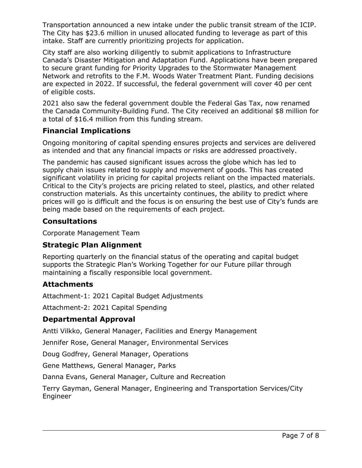Transportation announced a new intake under the public transit stream of the ICIP. The City has \$23.6 million in unused allocated funding to leverage as part of this intake. Staff are currently prioritizing projects for application.

City staff are also working diligently to submit applications to Infrastructure Canada's Disaster Mitigation and Adaptation Fund. Applications have been prepared to secure grant funding for Priority Upgrades to the Stormwater Management Network and retrofits to the F.M. Woods Water Treatment Plant. Funding decisions are expected in 2022. If successful, the federal government will cover 40 per cent of eligible costs.

2021 also saw the federal government double the Federal Gas Tax, now renamed the Canada Community-Building Fund. The City received an additional \$8 million for a total of \$16.4 million from this funding stream.

# **Financial Implications**

Ongoing monitoring of capital spending ensures projects and services are delivered as intended and that any financial impacts or risks are addressed proactively.

The pandemic has caused significant issues across the globe which has led to supply chain issues related to supply and movement of goods. This has created significant volatility in pricing for capital projects reliant on the impacted materials. Critical to the City's projects are pricing related to steel, plastics, and other related construction materials. As this uncertainty continues, the ability to predict where prices will go is difficult and the focus is on ensuring the best use of City's funds are being made based on the requirements of each project.

# **Consultations**

Corporate Management Team

# **Strategic Plan Alignment**

Reporting quarterly on the financial status of the operating and capital budget supports the Strategic Plan's Working Together for our Future pillar through maintaining a fiscally responsible local government.

#### **Attachments**

Attachment-1: 2021 Capital Budget Adjustments

Attachment-2: 2021 Capital Spending

# **Departmental Approval**

Antti Vilkko, General Manager, Facilities and Energy Management

Jennifer Rose, General Manager, Environmental Services

Doug Godfrey, General Manager, Operations

Gene Matthews, General Manager, Parks

Danna Evans, General Manager, Culture and Recreation

Terry Gayman, General Manager, Engineering and Transportation Services/City Engineer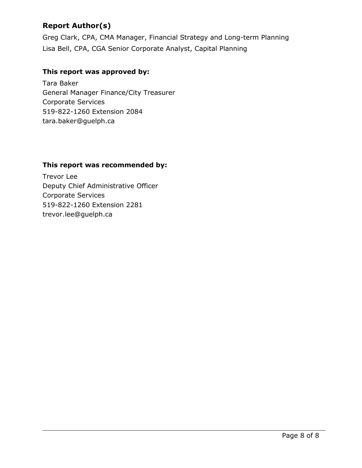# **Report Author(s)**

Greg Clark, CPA, CMA Manager, Financial Strategy and Long-term Planning Lisa Bell, CPA, CGA Senior Corporate Analyst, Capital Planning

#### **This report was approved by:**

Tara Baker General Manager Finance/City Treasurer Corporate Services 519-822-1260 Extension 2084 tara.baker@guelph.ca

#### **This report was recommended by:**

Trevor Lee Deputy Chief Administrative Officer Corporate Services 519-822-1260 Extension 2281 trevor.lee@guelph.ca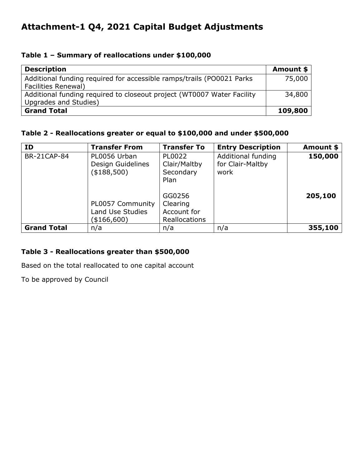# **Attachment-1 Q4, 2021 Capital Budget Adjustments**

#### **Table 1 – Summary of reallocations under \$100,000**

| <b>Description</b>                                                     | Amount \$ |
|------------------------------------------------------------------------|-----------|
| Additional funding required for accessible ramps/trails (PO0021 Parks  | 75,000    |
| <b>Facilities Renewal)</b>                                             |           |
| Additional funding required to closeout project (WT0007 Water Facility | 34,800    |
| Upgrades and Studies)                                                  |           |
| <b>Grand Total</b>                                                     | 109,800   |

#### **Table 2 - Reallocations greater or equal to \$100,000 and under \$500,000**

| ID                 | <b>Transfer From</b>                                     | <b>Transfer To</b>                                 | <b>Entry Description</b>                       | Amount \$ |
|--------------------|----------------------------------------------------------|----------------------------------------------------|------------------------------------------------|-----------|
| <b>BR-21CAP-84</b> | PL0056 Urban<br>Design Guidelines<br>(\$188,500)         | PL0022<br>Clair/Maltby<br>Secondary<br>Plan        | Additional funding<br>for Clair-Maltby<br>work | 150,000   |
|                    | PL0057 Community<br><b>Land Use Studies</b><br>\$166,600 | GG0256<br>Clearing<br>Account for<br>Reallocations |                                                | 205,100   |
| <b>Grand Total</b> | n/a                                                      | n/a                                                | n/a                                            | 355,100   |

#### **Table 3 - Reallocations greater than \$500,000**

Based on the total reallocated to one capital account

To be approved by Council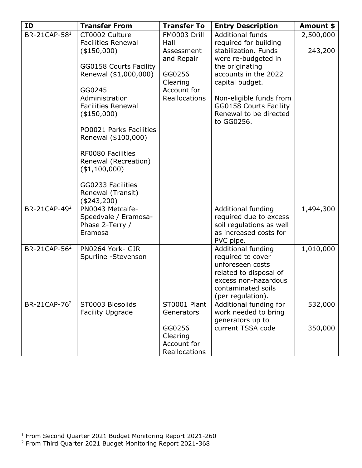<span id="page-9-0"></span>

| <b>ID</b>                | <b>Transfer From</b>                     | <b>Transfer To</b>           | <b>Entry Description</b>                            | Amount \$ |
|--------------------------|------------------------------------------|------------------------------|-----------------------------------------------------|-----------|
| BR-21CAP-581             | CT0002 Culture                           | FM0003 Drill                 | <b>Additional funds</b>                             | 2,500,000 |
|                          | <b>Facilities Renewal</b>                | Hall                         | required for building                               |           |
|                          | (\$150,000)                              | Assessment                   | stabilization. Funds                                | 243,200   |
|                          | GG0158 Courts Facility                   | and Repair                   | were re-budgeted in<br>the originating              |           |
|                          | Renewal (\$1,000,000)                    | GG0256                       | accounts in the 2022                                |           |
|                          |                                          | Clearing                     | capital budget.                                     |           |
|                          | GG0245                                   | Account for                  |                                                     |           |
|                          | Administration                           | Reallocations                | Non-eligible funds from                             |           |
|                          | <b>Facilities Renewal</b>                |                              | GG0158 Courts Facility                              |           |
|                          | (\$150,000)                              |                              | Renewal to be directed<br>to GG0256.                |           |
|                          | PO0021 Parks Facilities                  |                              |                                                     |           |
|                          | Renewal (\$100,000)                      |                              |                                                     |           |
|                          | RF0080 Facilities                        |                              |                                                     |           |
|                          | Renewal (Recreation)                     |                              |                                                     |           |
|                          | ( \$1,100,000)                           |                              |                                                     |           |
|                          | GG0233 Facilities                        |                              |                                                     |           |
|                          | Renewal (Transit)                        |                              |                                                     |           |
|                          | $(*243,200)$                             |                              |                                                     |           |
| BR-21CAP-49 <sup>2</sup> | PN0043 Metcalfe-<br>Speedvale / Eramosa- |                              | <b>Additional funding</b><br>required due to excess | 1,494,300 |
|                          | Phase 2-Terry /                          |                              | soil regulations as well                            |           |
|                          | Eramosa                                  |                              | as increased costs for                              |           |
|                          |                                          |                              | PVC pipe.                                           |           |
| BR-21CAP-56 <sup>2</sup> | PN0264 York- GJR                         |                              | Additional funding                                  | 1,010,000 |
|                          | Spurline -Stevenson                      |                              | required to cover                                   |           |
|                          |                                          |                              | unforeseen costs                                    |           |
|                          |                                          |                              | related to disposal of<br>excess non-hazardous      |           |
|                          |                                          |                              | contaminated soils                                  |           |
|                          |                                          |                              | (per regulation).                                   |           |
| BR-21CAP-76 <sup>2</sup> | ST0003 Biosolids                         | ST0001 Plant                 | Additional funding for                              | 532,000   |
|                          | <b>Facility Upgrade</b>                  | Generators                   | work needed to bring                                |           |
|                          |                                          |                              | generators up to                                    |           |
|                          |                                          | GG0256                       | current TSSA code                                   | 350,000   |
|                          |                                          | Clearing                     |                                                     |           |
|                          |                                          | Account for<br>Reallocations |                                                     |           |

<sup>&</sup>lt;sup>1</sup> From Second Quarter 2021 Budget Monitoring Report 2021-260

<sup>2</sup> From Third Quarter 2021 Budget Monitoring Report 2021-368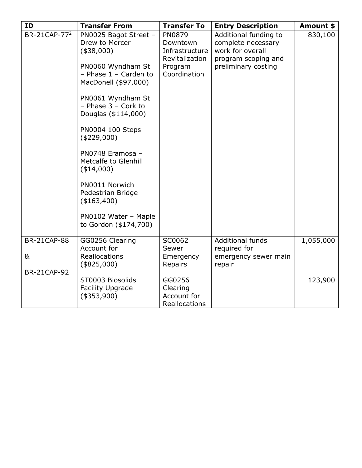| <b>ID</b>                | <b>Transfer From</b>                                                                                                                                                                                                                                                                                                                                                                                      | <b>Transfer To</b>                                                                       | <b>Entry Description</b>                                                                                      | Amount \$ |
|--------------------------|-----------------------------------------------------------------------------------------------------------------------------------------------------------------------------------------------------------------------------------------------------------------------------------------------------------------------------------------------------------------------------------------------------------|------------------------------------------------------------------------------------------|---------------------------------------------------------------------------------------------------------------|-----------|
| BR-21CAP-77 <sup>2</sup> | PN0025 Bagot Street -<br>Drew to Mercer<br>(\$38,000)<br>PN0060 Wyndham St<br>- Phase $1$ - Carden to<br>MacDonell (\$97,000)<br>PN0061 Wyndham St<br>$-$ Phase 3 $-$ Cork to<br>Douglas (\$114,000)<br>PN0004 100 Steps<br>(\$229,000)<br>PN0748 Eramosa -<br>Metcalfe to Glenhill<br>$(*14,000)$<br>PN0011 Norwich<br>Pedestrian Bridge<br>(\$163,400)<br>PN0102 Water - Maple<br>to Gordon (\$174,700) | <b>PN0879</b><br>Downtown<br>Infrastructure<br>Revitalization<br>Program<br>Coordination | Additional funding to<br>complete necessary<br>work for overall<br>program scoping and<br>preliminary costing | 830,100   |
| <b>BR-21CAP-88</b>       |                                                                                                                                                                                                                                                                                                                                                                                                           | SC0062                                                                                   | <b>Additional funds</b>                                                                                       | 1,055,000 |
|                          | GG0256 Clearing<br>Account for                                                                                                                                                                                                                                                                                                                                                                            | Sewer                                                                                    | required for                                                                                                  |           |
| 8 <sub>k</sub>           | <b>Reallocations</b><br>(\$825,000)                                                                                                                                                                                                                                                                                                                                                                       | Emergency<br>Repairs                                                                     | emergency sewer main<br>repair                                                                                |           |
| <b>BR-21CAP-92</b>       |                                                                                                                                                                                                                                                                                                                                                                                                           |                                                                                          |                                                                                                               |           |
|                          | ST0003 Biosolids<br><b>Facility Upgrade</b><br>(\$353,900)                                                                                                                                                                                                                                                                                                                                                | GG0256<br>Clearing<br>Account for<br>Reallocations                                       |                                                                                                               | 123,900   |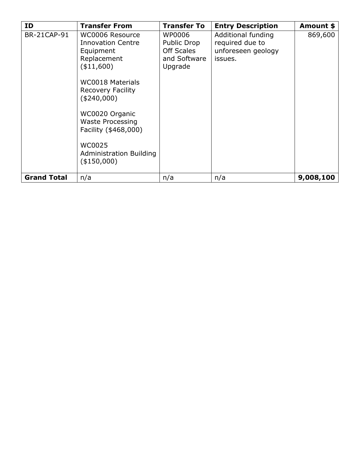| ID.                | <b>Transfer From</b>                                                                   | <b>Transfer To</b>                                                           | <b>Entry Description</b>                                               | Amount \$ |
|--------------------|----------------------------------------------------------------------------------------|------------------------------------------------------------------------------|------------------------------------------------------------------------|-----------|
| <b>BR-21CAP-91</b> | WC0006 Resource<br><b>Innovation Centre</b><br>Equipment<br>Replacement<br>( \$11,600) | WP0006<br><b>Public Drop</b><br><b>Off Scales</b><br>and Software<br>Upgrade | Additional funding<br>required due to<br>unforeseen geology<br>issues. | 869,600   |
|                    | <b>WC0018 Materials</b><br><b>Recovery Facility</b><br>(\$240,000)                     |                                                                              |                                                                        |           |
|                    | WC0020 Organic<br><b>Waste Processing</b><br>Facility (\$468,000)                      |                                                                              |                                                                        |           |
|                    | WC0025<br><b>Administration Building</b><br>(\$150,000)                                |                                                                              |                                                                        |           |
| <b>Grand Total</b> | n/a                                                                                    | n/a                                                                          | n/a                                                                    | 9,008,100 |